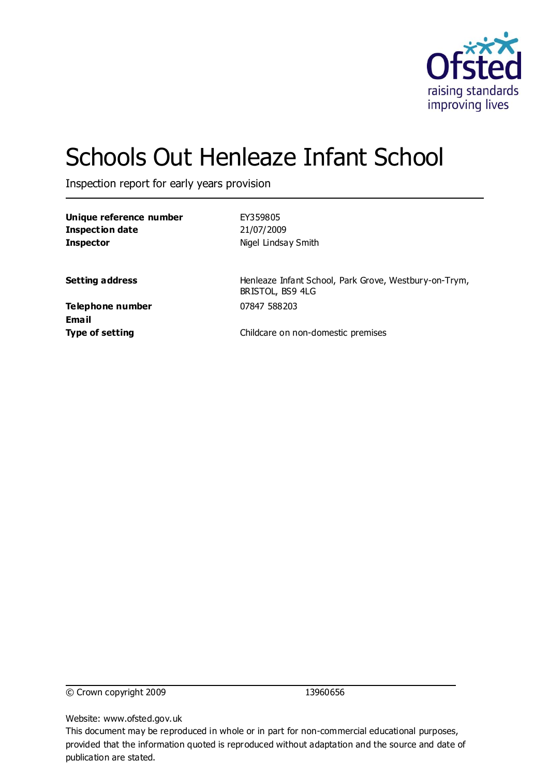

# Schools Out Henleaze Infant School

Inspection report for early years provision

| Unique reference number |  |
|-------------------------|--|
| Inspection date         |  |
| <b>Inspector</b>        |  |

**Unique reference number** EY359805 **Inspection date** 21/07/2009 **Nigel Lindsay Smith** 

**Setting address** Henleaze Infant School, Park Grove, Westbury-on-Trym, BRISTOL, BS9 4LG

**Telephone number** 07847 588203 **Email**

**Type of setting** Childcare on non-domestic premises

© Crown copyright 2009 13960656

Website: www.ofsted.gov.uk

This document may be reproduced in whole or in part for non-commercial educational purposes, provided that the information quoted is reproduced without adaptation and the source and date of publication are stated.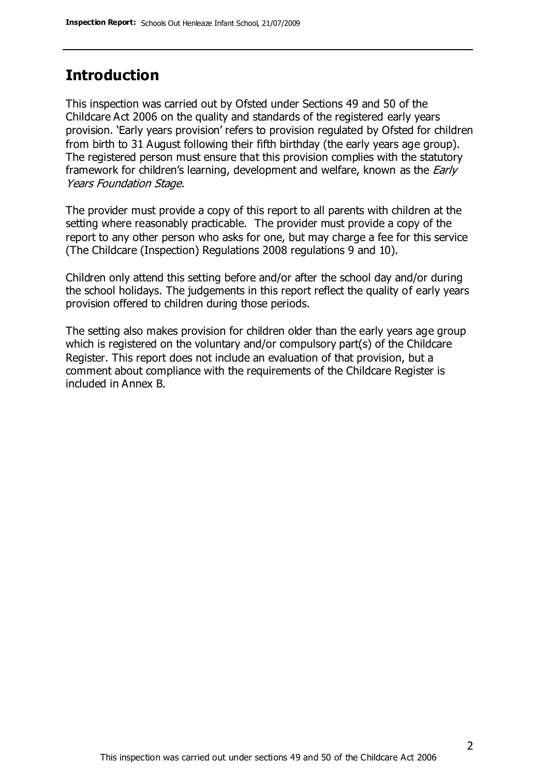### **Introduction**

This inspection was carried out by Ofsted under Sections 49 and 50 of the Childcare Act 2006 on the quality and standards of the registered early years provision. 'Early years provision' refers to provision regulated by Ofsted for children from birth to 31 August following their fifth birthday (the early years age group). The registered person must ensure that this provision complies with the statutory framework for children's learning, development and welfare, known as the *Early* Years Foundation Stage.

The provider must provide a copy of this report to all parents with children at the setting where reasonably practicable. The provider must provide a copy of the report to any other person who asks for one, but may charge a fee for this service (The Childcare (Inspection) Regulations 2008 regulations 9 and 10).

Children only attend this setting before and/or after the school day and/or during the school holidays. The judgements in this report reflect the quality of early years provision offered to children during those periods.

The setting also makes provision for children older than the early years age group which is registered on the voluntary and/or compulsory part(s) of the Childcare Register. This report does not include an evaluation of that provision, but a comment about compliance with the requirements of the Childcare Register is included in Annex B.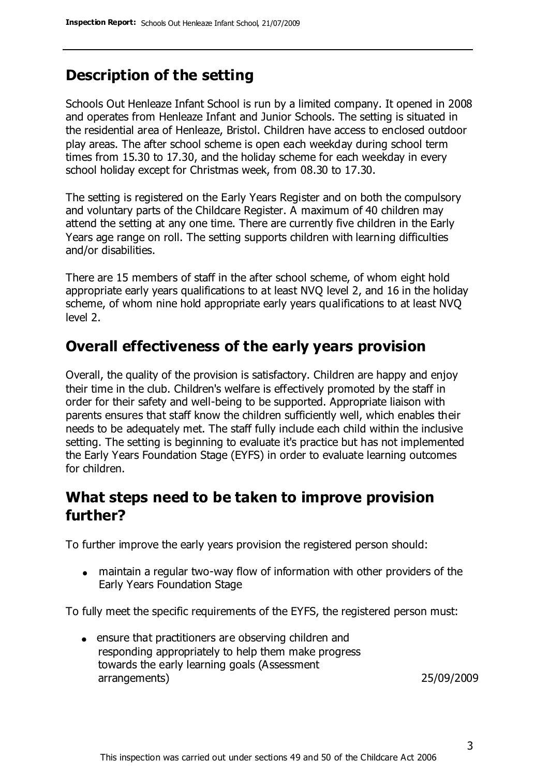### **Description of the setting**

Schools Out Henleaze Infant School is run by a limited company. It opened in 2008 and operates from Henleaze Infant and Junior Schools. The setting is situated in the residential area of Henleaze, Bristol. Children have access to enclosed outdoor play areas. The after school scheme is open each weekday during school term times from 15.30 to 17.30, and the holiday scheme for each weekday in every school holiday except for Christmas week, from 08.30 to 17.30.

The setting is registered on the Early Years Register and on both the compulsory and voluntary parts of the Childcare Register. A maximum of 40 children may attend the setting at any one time. There are currently five children in the Early Years age range on roll. The setting supports children with learning difficulties and/or disabilities.

There are 15 members of staff in the after school scheme, of whom eight hold appropriate early years qualifications to at least NVQ level 2, and 16 in the holiday scheme, of whom nine hold appropriate early years qualifications to at least NVQ level 2.

#### **Overall effectiveness of the early years provision**

Overall, the quality of the provision is satisfactory. Children are happy and enjoy their time in the club. Children's welfare is effectively promoted by the staff in order for their safety and well-being to be supported. Appropriate liaison with parents ensures that staff know the children sufficiently well, which enables their needs to be adequately met. The staff fully include each child within the inclusive setting. The setting is beginning to evaluate it's practice but has not implemented the Early Years Foundation Stage (EYFS) in order to evaluate learning outcomes for children.

### **What steps need to be taken to improve provision further?**

To further improve the early years provision the registered person should:

maintain a regular two-way flow of information with other providers of the Early Years Foundation Stage

To fully meet the specific requirements of the EYFS, the registered person must:

• ensure that practitioners are observing children and responding appropriately to help them make progress towards the early learning goals (Assessment arrangements) 25/09/2009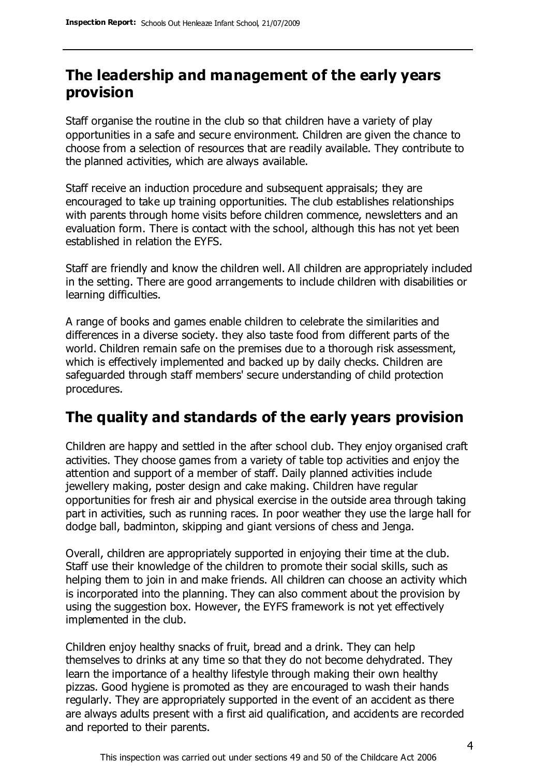### **The leadership and management of the early years provision**

Staff organise the routine in the club so that children have a variety of play opportunities in a safe and secure environment. Children are given the chance to choose from a selection of resources that are readily available. They contribute to the planned activities, which are always available.

Staff receive an induction procedure and subsequent appraisals; they are encouraged to take up training opportunities. The club establishes relationships with parents through home visits before children commence, newsletters and an evaluation form. There is contact with the school, although this has not yet been established in relation the EYFS.

Staff are friendly and know the children well. All children are appropriately included in the setting. There are good arrangements to include children with disabilities or learning difficulties.

A range of books and games enable children to celebrate the similarities and differences in a diverse society. they also taste food from different parts of the world. Children remain safe on the premises due to a thorough risk assessment, which is effectively implemented and backed up by daily checks. Children are safeguarded through staff members' secure understanding of child protection procedures.

### **The quality and standards of the early years provision**

Children are happy and settled in the after school club. They enjoy organised craft activities. They choose games from a variety of table top activities and enjoy the attention and support of a member of staff. Daily planned activities include jewellery making, poster design and cake making. Children have regular opportunities for fresh air and physical exercise in the outside area through taking part in activities, such as running races. In poor weather they use the large hall for dodge ball, badminton, skipping and giant versions of chess and Jenga.

Overall, children are appropriately supported in enjoying their time at the club. Staff use their knowledge of the children to promote their social skills, such as helping them to join in and make friends. All children can choose an activity which is incorporated into the planning. They can also comment about the provision by using the suggestion box. However, the EYFS framework is not yet effectively implemented in the club.

Children enjoy healthy snacks of fruit, bread and a drink. They can help themselves to drinks at any time so that they do not become dehydrated. They learn the importance of a healthy lifestyle through making their own healthy pizzas. Good hygiene is promoted as they are encouraged to wash their hands regularly. They are appropriately supported in the event of an accident as there are always adults present with a first aid qualification, and accidents are recorded and reported to their parents.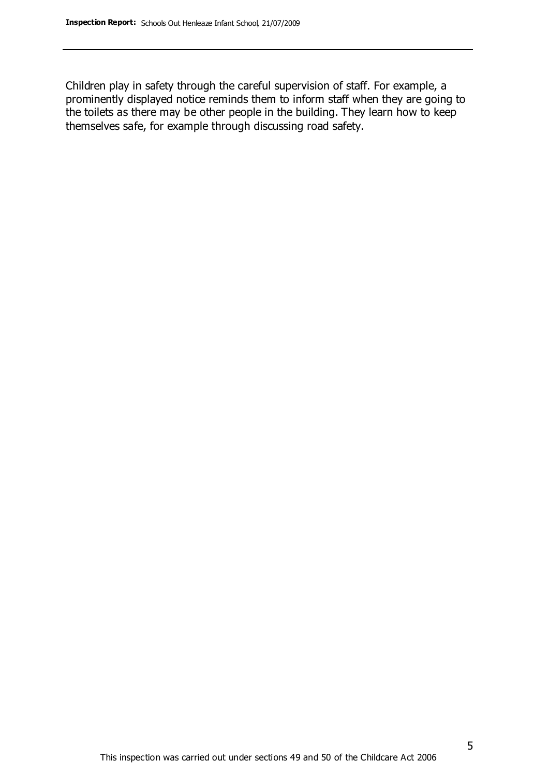Children play in safety through the careful supervision of staff. For example, a prominently displayed notice reminds them to inform staff when they are going to the toilets as there may be other people in the building. They learn how to keep themselves safe, for example through discussing road safety.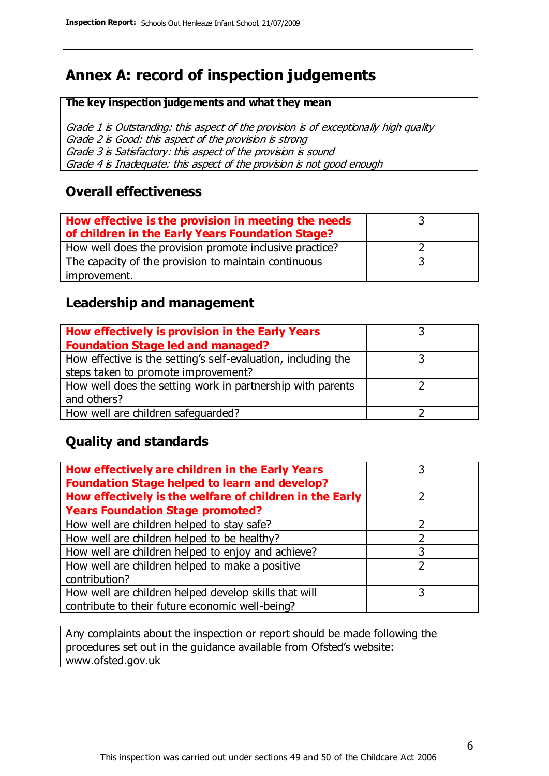### **Annex A: record of inspection judgements**

#### **The key inspection judgements and what they mean**

Grade 1 is Outstanding: this aspect of the provision is of exceptionally high quality Grade 2 is Good: this aspect of the provision is strong Grade 3 is Satisfactory: this aspect of the provision is sound Grade 4 is Inadequate: this aspect of the provision is not good enough

#### **Overall effectiveness**

| How effective is the provision in meeting the needs<br>of children in the Early Years Foundation Stage? |  |
|---------------------------------------------------------------------------------------------------------|--|
| How well does the provision promote inclusive practice?                                                 |  |
| The capacity of the provision to maintain continuous                                                    |  |
| improvement.                                                                                            |  |

#### **Leadership and management**

| How effectively is provision in the Early Years               |  |
|---------------------------------------------------------------|--|
| <b>Foundation Stage led and managed?</b>                      |  |
| How effective is the setting's self-evaluation, including the |  |
| steps taken to promote improvement?                           |  |
| How well does the setting work in partnership with parents    |  |
| and others?                                                   |  |
| How well are children safequarded?                            |  |

### **Quality and standards**

| How effectively are children in the Early Years<br><b>Foundation Stage helped to learn and develop?</b> |   |
|---------------------------------------------------------------------------------------------------------|---|
| How effectively is the welfare of children in the Early                                                 | ר |
| <b>Years Foundation Stage promoted?</b>                                                                 |   |
| How well are children helped to stay safe?                                                              |   |
| How well are children helped to be healthy?                                                             |   |
| How well are children helped to enjoy and achieve?                                                      | 3 |
| How well are children helped to make a positive                                                         | っ |
| contribution?                                                                                           |   |
| How well are children helped develop skills that will                                                   |   |
| contribute to their future economic well-being?                                                         |   |

Any complaints about the inspection or report should be made following the procedures set out in the guidance available from Ofsted's website: www.ofsted.gov.uk